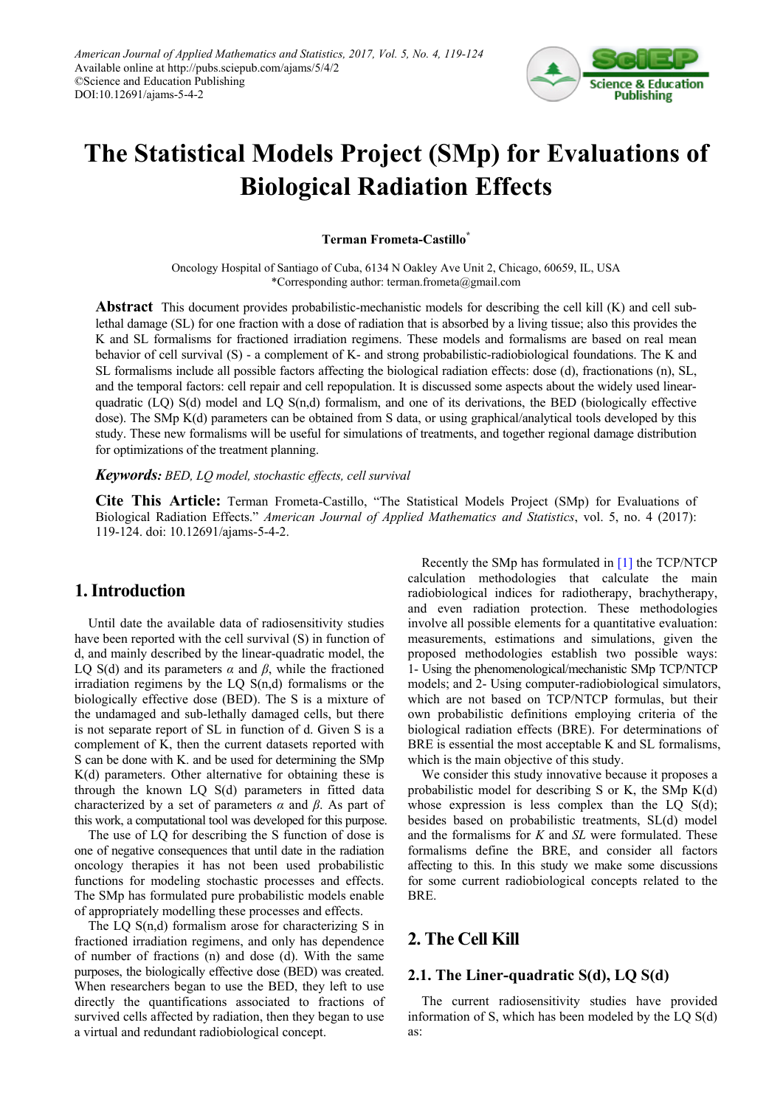

# **The Statistical Models Project (SMp) for Evaluations of Biological Radiation Effects**

### **Terman Frometa-Castillo\***

Oncology Hospital of Santiago of Cuba, 6134 N Oakley Ave Unit 2, Chicago, 60659, IL, USA \*Corresponding author: terman.frometa@gmail.com

**Abstract** This document provides probabilistic-mechanistic models for describing the cell kill (K) and cell sublethal damage (SL) for one fraction with a dose of radiation that is absorbed by a living tissue; also this provides the K and SL formalisms for fractioned irradiation regimens. These models and formalisms are based on real mean behavior of cell survival (S) - a complement of K- and strong probabilistic-radiobiological foundations. The K and SL formalisms include all possible factors affecting the biological radiation effects: dose (d), fractionations (n), SL, and the temporal factors: cell repair and cell repopulation. It is discussed some aspects about the widely used linearquadratic (LQ) S(d) model and LQ S(n,d) formalism, and one of its derivations, the BED (biologically effective dose). The SMp K(d) parameters can be obtained from S data, or using graphical/analytical tools developed by this study. These new formalisms will be useful for simulations of treatments, and together regional damage distribution for optimizations of the treatment planning.

#### *Keywords: BED, LQ model, stochastic effects, cell survival*

**Cite This Article:** Terman Frometa-Castillo, "The Statistical Models Project (SMp) for Evaluations of Biological Radiation Effects." *American Journal of Applied Mathematics and Statistics*, vol. 5, no. 4 (2017): 119-124. doi: 10.12691/ajams-5-4-2.

## **1. Introduction**

Until date the available data of radiosensitivity studies have been reported with the cell survival (S) in function of d, and mainly described by the linear-quadratic model, the LQ S(d) and its parameters  $\alpha$  and  $\beta$ , while the fractioned irradiation regimens by the LQ S(n,d) formalisms or the biologically effective dose (BED). The S is a mixture of the undamaged and sub-lethally damaged cells, but there is not separate report of SL in function of d. Given S is a complement of K, then the current datasets reported with S can be done with K. and be used for determining the SMp K(d) parameters. Other alternative for obtaining these is through the known LQ S(d) parameters in fitted data characterized by a set of parameters *α* and *β*. As part of this work, a computational tool was developed for this purpose.

The use of LQ for describing the S function of dose is one of negative consequences that until date in the radiation oncology therapies it has not been used probabilistic functions for modeling stochastic processes and effects. The SMp has formulated pure probabilistic models enable of appropriately modelling these processes and effects.

The LQ S(n,d) formalism arose for characterizing S in fractioned irradiation regimens, and only has dependence of number of fractions (n) and dose (d). With the same purposes, the biologically effective dose (BED) was created. When researchers began to use the BED, they left to use directly the quantifications associated to fractions of survived cells affected by radiation, then they began to use a virtual and redundant radiobiological concept.

Recently the SMp has formulated in [\[1\]](#page-4-0) the TCP/NTCP calculation methodologies that calculate the main radiobiological indices for radiotherapy, brachytherapy, and even radiation protection. These methodologies involve all possible elements for a quantitative evaluation: measurements, estimations and simulations, given the proposed methodologies establish two possible ways: 1- Using the phenomenological/mechanistic SMp TCP/NTCP models; and 2- Using computer-radiobiological simulators, which are not based on TCP/NTCP formulas, but their own probabilistic definitions employing criteria of the biological radiation effects (BRE). For determinations of BRE is essential the most acceptable K and SL formalisms, which is the main objective of this study.

We consider this study innovative because it proposes a probabilistic model for describing S or K, the SMp K(d) whose expression is less complex than the  $LQ S(d)$ ; besides based on probabilistic treatments, SL(d) model and the formalisms for *K* and *SL* were formulated. These formalisms define the BRE, and consider all factors affecting to this. In this study we make some discussions for some current radiobiological concepts related to the BRE.

# **2. The Cell Kill**

## **2.1. The Liner-quadratic S(d), LQ S(d)**

The current radiosensitivity studies have provided information of S, which has been modeled by the LQ S(d) as: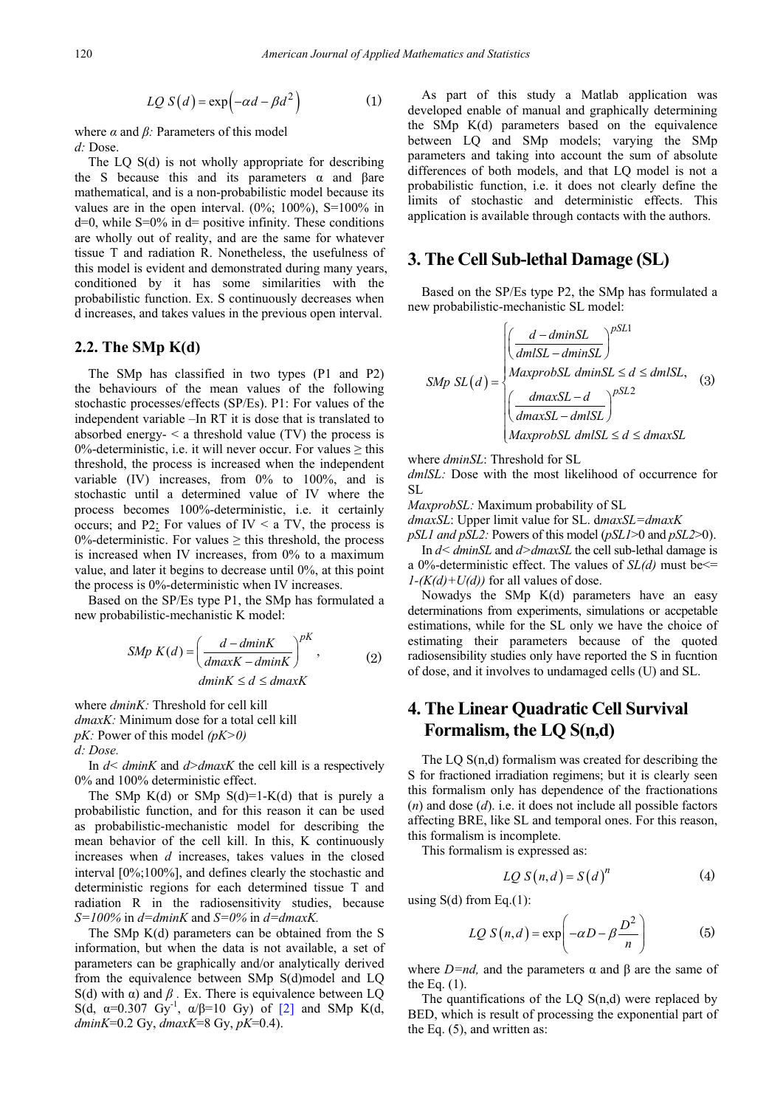$$
LQ S(d) = \exp(-\alpha d - \beta d^2)
$$
 (1)

where  $\alpha$  and  $\beta$ : Parameters of this model *d:* Dose.

The LQ S(d) is not wholly appropriate for describing the S because this and its parameters  $\alpha$  and βare mathematical, and is a non-probabilistic model because its values are in the open interval.  $(0\%; 100\%)$ , S=100% in  $d=0$ , while S=0% in  $d=$  positive infinity. These conditions are wholly out of reality, and are the same for whatever tissue T and radiation R. Nonetheless, the usefulness of this model is evident and demonstrated during many years, conditioned by it has some similarities with the probabilistic function. Ex. S continuously decreases when d increases, and takes values in the previous open interval.

#### **2.2. The SMp K(d)**

The SMp has classified in two types (P1 and P2) the behaviours of the mean values of the following stochastic processes/effects (SP/Es). P1: For values of the independent variable –In RT it is dose that is translated to absorbed energy-  $\leq$  a threshold value (TV) the process is 0%-deterministic, i.e. it will never occur. For values  $\ge$  this threshold, the process is increased when the independent variable  $(IV)$  increases, from  $0\%$  to  $100\%$ , and is stochastic until a determined value of IV where the process becomes 100%-deterministic, i.e. it certainly occurs; and P2: For values of IV  $\le$  a TV, the process is 0%-deterministic. For values  $\geq$  this threshold, the process is increased when IV increases, from 0% to a maximum value, and later it begins to decrease until 0%, at this point the process is 0%-deterministic when IV increases.

Based on the SP/Es type P1, the SMp has formulated a new probabilistic-mechanistic K model:

$$
SMp K(d) = \left(\frac{d - dminK}{dmaxK - dminK}\right)^{pK},
$$
\n
$$
dminK \le d \le dmaxK
$$
\n(2)

where *dminK:* Threshold for cell kill *dmaxK:* Minimum dose for a total cell kill *pK:* Power of this model *(pK>0) d: Dose.*

In *d< dminK* and *d>dmaxK* the cell kill is a respectively 0% and 100% deterministic effect.

The SMp  $K(d)$  or SMp  $S(d)=1-K(d)$  that is purely a probabilistic function, and for this reason it can be used as probabilistic-mechanistic model for describing the mean behavior of the cell kill. In this, K continuously increases when *d* increases, takes values in the closed interval [0%;100%], and defines clearly the stochastic and deterministic regions for each determined tissue T and radiation R in the radiosensitivity studies, because *S=100%* in *d=dminK* and *S=0%* in *d=dmaxK.*

The SMp K(d) parameters can be obtained from the S information, but when the data is not available, a set of parameters can be graphically and/or analytically derived from the equivalence between SMp S(d)model and LQ S(d) with  $\alpha$ ) and  $\beta$ . Ex. There is equivalence between LQ S(d,  $\alpha=0.307$  Gy<sup>-1</sup>,  $\alpha/\beta=10$  Gy) of [\[2\]](#page-4-1) and SMp K(d, *dminK*=0.2 Gy, *dmaxK*=8 Gy, *pK*=0.4).

As part of this study a Matlab application was developed enable of manual and graphically determining the SMp K(d) parameters based on the equivalence between LQ and SMp models; varying the SMp parameters and taking into account the sum of absolute differences of both models, and that LQ model is not a probabilistic function, i.e. it does not clearly define the limits of stochastic and deterministic effects. This application is available through contacts with the authors.

## **3. The Cell Sub-lethal Damage (SL)**

Based on the SP/Es type P2, the SMp has formulated a new probabilistic-mechanistic SL model:

$$
SMp SL(d) = \begin{cases} \left(\frac{d - \text{dminSL}}{\text{dmlSL} - \text{dminSL}}\right)^{PSL1} \\ \text{MaxproofSL } \text{dminSL} \le d \le \text{dmlSL}, \\ \left(\frac{\text{dmaxSL} - d}{\text{dmaxSL} - \text{dmlSL}}\right)^{PSL2} \\ \text{MaxproofSL } \text{dmlSL} \le d \le \text{dmaxSL} \end{cases}
$$
 (3)

where *dminSL*: Threshold for SL

*dmlSL:* Dose with the most likelihood of occurrence for SL

*MaxprobSL:* Maximum probability of SL

*dmaxSL*: Upper limit value for SL. d*maxSL=dmaxK*

*pSL1 and pSL2:* Powers of this model (*pSL1*>0 and *pSL2*>0). In *d< dminSL* and *d>dmaxSL* the cell sub-lethal damage is

a 0%-deterministic effect. The values of *SL(d)* must be<=  $1-(K(d)+U(d))$  for all values of dose.

Nowadys the SMp K(d) parameters have an easy determinations from experiments, simulations or accpetable estimations, while for the SL only we have the choice of estimating their parameters because of the quoted radiosensibility studies only have reported the S in fucntion of dose, and it involves to undamaged cells (U) and SL.

# **4. The Linear Quadratic Cell Survival Formalism, the LQ S(n,d)**

The LQ S(n,d) formalism was created for describing the S for fractioned irradiation regimens; but it is clearly seen this formalism only has dependence of the fractionations (*n*) and dose (*d*). i.e. it does not include all possible factors affecting BRE, like SL and temporal ones. For this reason, this formalism is incomplete.

This formalism is expressed as:

$$
LQ S(n,d) = S(d)^{n}
$$
 (4)

using  $S(d)$  from Eq.(1):

$$
LQ S(n,d) = \exp\left(-\alpha D - \beta \frac{D^2}{n}\right) \tag{5}
$$

where  $D=nd$ , and the parameters  $\alpha$  and  $\beta$  are the same of the Eq.  $(1)$ .

The quantifications of the LQ  $S(n,d)$  were replaced by BED, which is result of processing the exponential part of the Eq. (5), and written as: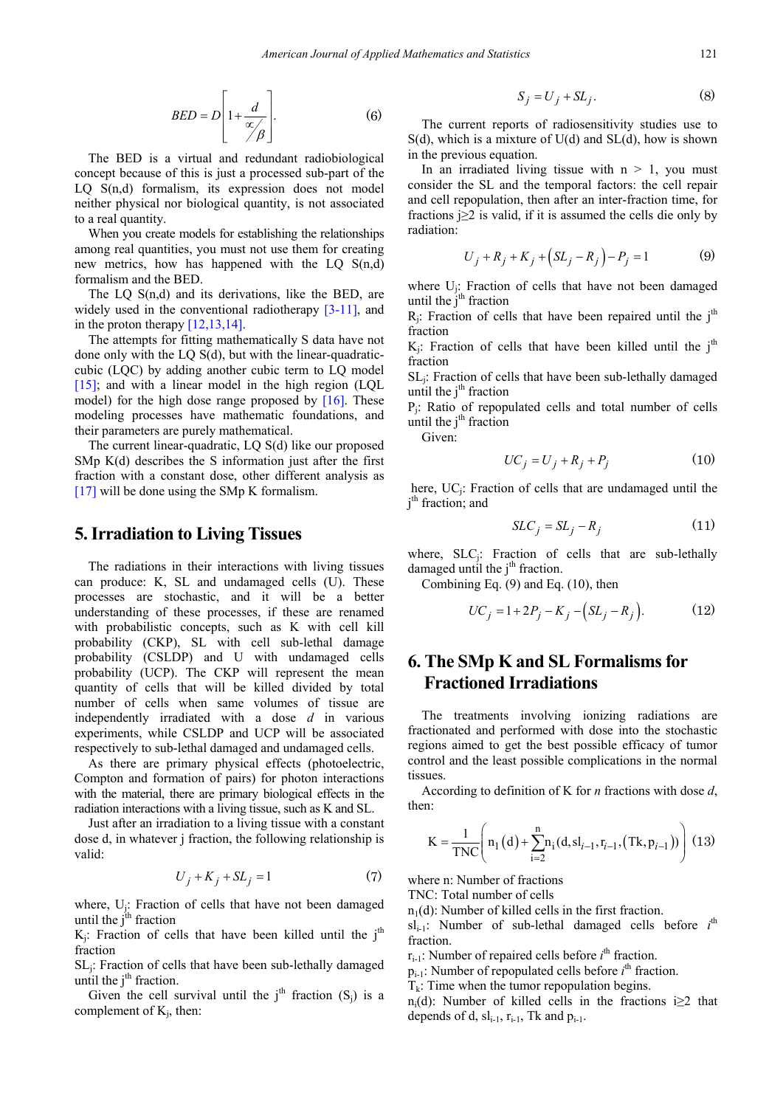$$
BED = D \left[ 1 + \frac{d}{\alpha / \beta} \right]. \tag{6}
$$

The BED is a virtual and redundant radiobiological concept because of this is just a processed sub-part of the LQ S(n,d) formalism, its expression does not model neither physical nor biological quantity, is not associated to a real quantity.

When you create models for establishing the relationships among real quantities, you must not use them for creating new metrics, how has happened with the LQ S(n,d) formalism and the BED.

The LQ  $S(n,d)$  and its derivations, like the BED, are widely used in the conventional radiotherapy [\[3-11\],](#page-4-2) and in the proton therapy  $[12,13,14]$ .

The attempts for fitting mathematically S data have not done only with the LQ S(d), but with the linear-quadraticcubic (LQC) by adding another cubic term to LQ model [\[15\];](#page-4-4) and with a linear model in the high region  $(LQL)$ model) for the high dose range proposed by  $[16]$ . These modeling processes have mathematic foundations, and their parameters are purely mathematical.

The current linear-quadratic, LQ S(d) like our proposed SMp K(d) describes the S information just after the first fraction with a constant dose, other different analysis as [\[17\]](#page-5-0) will be done using the SMp K formalism.

## **5.Irradiation to Living Tissues**

The radiations in their interactions with living tissues can produce: K, SL and undamaged cells (U). These processes are stochastic, and it will be a better understanding of these processes, if these are renamed with probabilistic concepts, such as K with cell kill probability (CKP), SL with cell sub-lethal damage probability (CSLDP) and U with undamaged cells probability (UCP). The CKP will represent the mean quantity of cells that will be killed divided by total number of cells when same volumes of tissue are independently irradiated with a dose *d* in various experiments, while CSLDP and UCP will be associated respectively to sub-lethal damaged and undamaged cells.

As there are primary physical effects (photoelectric, Compton and formation of pairs) for photon interactions with the material, there are primary biological effects in the radiation interactions with a living tissue, such as K and SL.

Just after an irradiation to a living tissue with a constant dose d, in whatever j fraction, the following relationship is valid:

$$
U_j + K_j + SL_j = 1 \tag{7}
$$

where, Uj: Fraction of cells that have not been damaged until the  $j<sup>th</sup>$  fraction

 $K_j$ : Fraction of cells that have been killed until the j<sup>th</sup> fraction

SLj: Fraction of cells that have been sub-lethally damaged until the  $j<sup>th</sup>$  fraction.

Given the cell survival until the  $j<sup>th</sup>$  fraction  $(S_j)$  is a complement of  $K_i$ , then:

$$
S_j = U_j + SL_j. \tag{8}
$$

The current reports of radiosensitivity studies use to  $S(d)$ , which is a mixture of  $U(d)$  and  $SL(d)$ , how is shown in the previous equation.

In an irradiated living tissue with  $n > 1$ , you must consider the SL and the temporal factors: the cell repair and cell repopulation, then after an inter-fraction time, for fractions  $i \geq 2$  is valid, if it is assumed the cells die only by radiation:

$$
U_j + R_j + K_j + (SL_j - R_j) - P_j = 1
$$
 (9)

where Uj: Fraction of cells that have not been damaged until the  $j<sup>th</sup>$  fraction

 $R_i$ : Fraction of cells that have been repaired until the j<sup>th</sup> fraction

 $K_i$ : Fraction of cells that have been killed until the j<sup>th</sup> fraction

SLj: Fraction of cells that have been sub-lethally damaged until the  $j<sup>th</sup>$  fraction

Pj: Ratio of repopulated cells and total number of cells until the  $j<sup>th</sup>$  fraction

Given:

$$
UC_j = U_j + R_j + P_j \tag{10}
$$

here, UC<sub>i</sub>: Fraction of cells that are undamaged until the j<sup>th</sup> fraction; and

$$
SLC_j = SL_j - R_j \tag{11}
$$

where, SLC<sub>j</sub>: Fraction of cells that are sub-lethally damaged until the  $j<sup>th</sup>$  fraction.

Combining Eq. (9) and Eq. (10), then

$$
UC_j = 1 + 2P_j - K_j - (SL_j - R_j).
$$
 (12)

# **6. The SMp K and SL Formalismsfor Fractioned Irradiations**

The treatments involving ionizing radiations are fractionated and performed with dose into the stochastic regions aimed to get the best possible efficacy of tumor control and the least possible complications in the normal tissues.

According to definition of K for *n* fractions with dose *d*, then:

$$
K = \frac{1}{TNC} \left( n_1(d) + \sum_{i=2}^{n} n_i(d, sl_{i-1}, r_{i-1}, (Tk, p_{i-1})) \right) (13)
$$

where n: Number of fractions

TNC: Total number of cells

 $n_1(d)$ : Number of killed cells in the first fraction.

 $sl_{i-1}$ : Number of sub-lethal damaged cells before  $i<sup>th</sup>$ fraction.

 $r_{i-1}$ : Number of repaired cells before  $i<sup>th</sup>$  fraction.

 $p_{i-1}$ : Number of repopulated cells before  $i<sup>th</sup>$  fraction.

 $T_k$ : Time when the tumor repopulation begins.

n<sub>i</sub>(d): Number of killed cells in the fractions i $\geq 2$  that depends of d,  $sl_{i-1}$ ,  $r_{i-1}$ , Tk and  $p_{i-1}$ .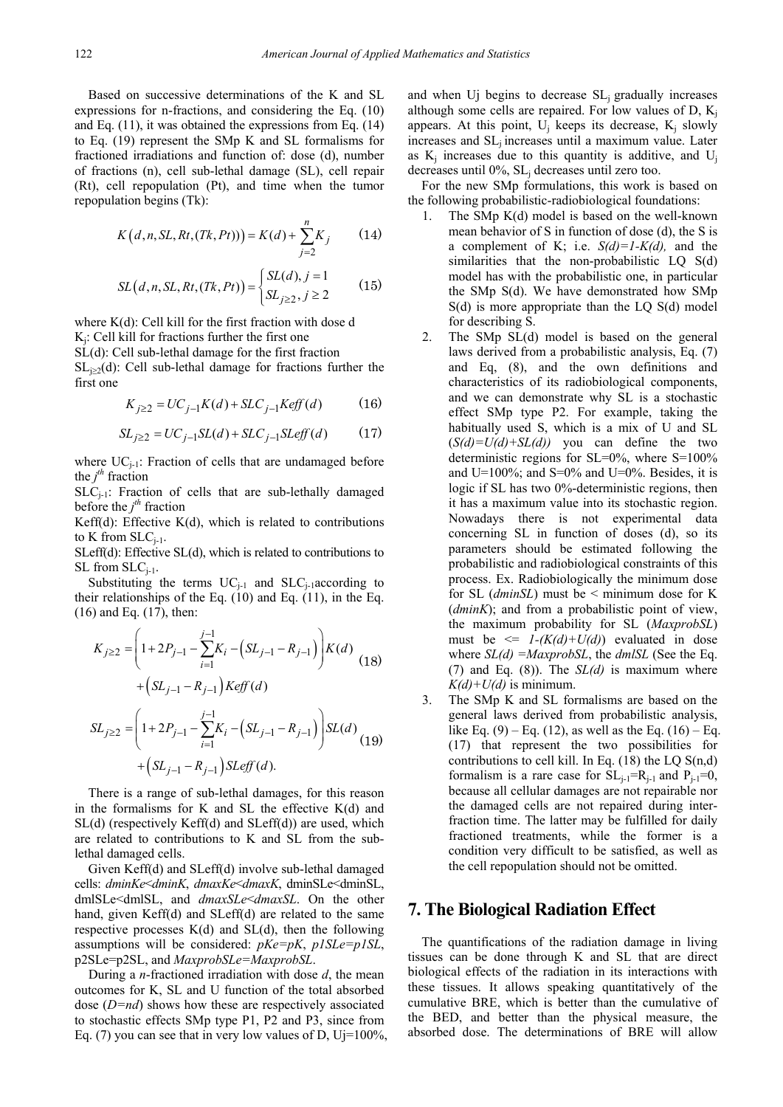Based on successive determinations of the K and SL expressions for n-fractions, and considering the Eq. (10) and Eq. (11), it was obtained the expressions from Eq. (14) to Eq. (19) represent the SMp K and SL formalisms for fractioned irradiations and function of: dose (d), number of fractions (n), cell sub-lethal damage (SL), cell repair (Rt), cell repopulation (Pt), and time when the tumor repopulation begins (Tk):

$$
K(d, n, SL, Rt, (Tk, Pt)) = K(d) + \sum_{j=2}^{n} K_j
$$
 (14)

$$
SL(d, n, SL, Rt, (Tk, Pt)) = \begin{cases} SL(d), j = 1\\ SL_{j \ge 2}, j \ge 2 \end{cases}
$$
 (15)

where  $K(d)$ : Cell kill for the first fraction with dose d  $K_i$ : Cell kill for fractions further the first one

SL(d): Cell sub-lethal damage for the first fraction  $SL<sub>i>2</sub>(d)$ : Cell sub-lethal damage for fractions further the first one

$$
K_{j\geq 2} = UC_{j-1}K(d) + SLC_{j-1}Kerff(d) \tag{16}
$$

$$
SL_{j\geq 2} = UC_{j-1}SL(d) + SLC_{j-1}SLeff(d)
$$
 (17)

where  $UC_{j-1}$ : Fraction of cells that are undamaged before the  $j<sup>th</sup>$  fraction

 $SLC_{i-1}$ : Fraction of cells that are sub-lethally damaged before the  $j<sup>th</sup>$  fraction

Keff(d): Effective  $K(d)$ , which is related to contributions to K from  $SLC_{i-1}$ .

SLeff(d): Effective SL(d), which is related to contributions to  $SL$  from  $SLC_{i-1}$ .

Substituting the terms  $UC_{i-1}$  and  $SLC_{i-1}$  according to their relationships of the Eq. (10) and Eq. (11), in the Eq. (16) and Eq. (17), then:

$$
K_{j\geq 2} = \left(1 + 2P_{j-1} - \sum_{i=1}^{j-1} K_i - (SL_{j-1} - R_{j-1})\right) K(d)
$$
  
+ 
$$
\left(SL_{j-1} - R_{j-1}\right) Keff(d)
$$
  

$$
SL_{j\geq 2} = \left(1 + 2P_{j-1} - \sum_{i=1}^{j-1} K_i - (SL_{j-1} - R_{j-1})\right) SL(d)
$$
  
+ 
$$
\left(SL_{j-1} - R_{j-1}\right) SLeft(d).
$$
 (19)

There is a range of sub-lethal damages, for this reason in the formalisms for K and SL the effective  $K(d)$  and SL(d) (respectively Keff(d) and SLeff(d)) are used, which are related to contributions to K and SL from the sublethal damaged cells.

Given Keff(d) and SLeff(d) involve sub-lethal damaged cells: *dminKe*<*dminK*, *dmaxKe*<*dmaxK*, dminSLe<dminSL, dmlSLe<dmlSL, and *dmaxSLe*<*dmaxSL*. On the other hand, given Keff(d) and SLeff(d) are related to the same respective processes  $K(d)$  and  $SL(d)$ , then the following assumptions will be considered: *pKe=pK*, *p1SLe=p1SL*, p2SLe=p2SL, and *MaxprobSLe=MaxprobSL*.

During a *n*-fractioned irradiation with dose *d*, the mean outcomes for K, SL and U function of the total absorbed dose (*D=nd*) shows how these are respectively associated to stochastic effects SMp type P1, P2 and P3, since from Eq. (7) you can see that in very low values of D, Uj=100%, and when Uj begins to decrease SL; gradually increases although some cells are repaired. For low values of D,  $K_i$ appears. At this point,  $U_i$  keeps its decrease,  $K_i$  slowly increases and SL<sub>i</sub> increases until a maximum value. Later as  $K_i$  increases due to this quantity is additive, and  $U_i$ decreases until 0%, SL<sub>i</sub> decreases until zero too.

For the new SMp formulations, this work is based on the following probabilistic-radiobiological foundations:

- 1. The SMp K(d) model is based on the well-known mean behavior of S in function of dose (d), the S is a complement of K; i.e. *S(d)=1-K(d),* and the similarities that the non-probabilistic LQ S(d) model has with the probabilistic one, in particular the SMp S(d). We have demonstrated how SMp S(d) is more appropriate than the LQ S(d) model for describing S.
- 2. The SMp SL(d) model is based on the general laws derived from a probabilistic analysis, Eq. (7) and Eq, (8), and the own definitions and characteristics of its radiobiological components, and we can demonstrate why SL is a stochastic effect SMp type P2. For example, taking the habitually used S, which is a mix of U and SL  $(S(d)=U(d)+SL(d))$  you can define the two deterministic regions for SL=0%, where S=100% and U=100%; and S=0% and U=0%. Besides, it is logic if SL has two 0%-deterministic regions, then it has a maximum value into its stochastic region. Nowadays there is not experimental data concerning SL in function of doses (d), so its parameters should be estimated following the probabilistic and radiobiological constraints of this process. Ex. Radiobiologically the minimum dose for SL (*dminSL*) must be < minimum dose for K (*dminK*); and from a probabilistic point of view, the maximum probability for SL (*MaxprobSL*) must be  $\leq 1-(K(d)+U(d))$  evaluated in dose where *SL(d) =MaxprobSL*, the *dmlSL* (See the Eq. (7) and Eq. (8)). The *SL(d)* is maximum where  $K(d) + U(d)$  is minimum.
- 3. The SMp K and SL formalisms are based on the general laws derived from probabilistic analysis, like Eq. (9) – Eq. (12), as well as the Eq. (16) – Eq. (17) that represent the two possibilities for contributions to cell kill. In Eq.  $(18)$  the LQ S $(n,d)$ formalism is a rare case for  $SL_{i-1}=R_{i-1}$  and  $P_{i-1}=0$ , because all cellular damages are not repairable nor the damaged cells are not repaired during interfraction time. The latter may be fulfilled for daily fractioned treatments, while the former is a condition very difficult to be satisfied, as well as the cell repopulation should not be omitted.

## **7. The Biological Radiation Effect**

The quantifications of the radiation damage in living tissues can be done through K and SL that are direct biological effects of the radiation in its interactions with these tissues. It allows speaking quantitatively of the cumulative BRE, which is better than the cumulative of the BED, and better than the physical measure, the absorbed dose. The determinations of BRE will allow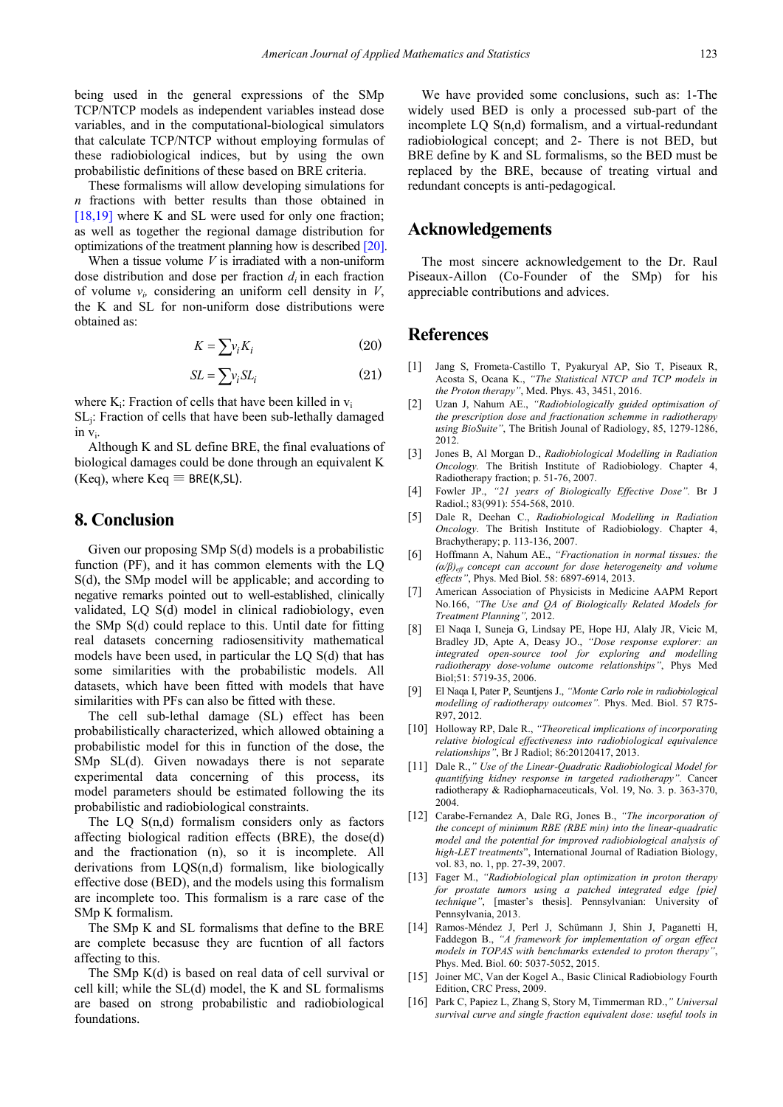being used in the general expressions of the SMp TCP/NTCP models as independent variables instead dose variables, and in the computational-biological simulators that calculate TCP/NTCP without employing formulas of these radiobiological indices, but by using the own probabilistic definitions of these based on BRE criteria.

These formalisms will allow developing simulations for *n* fractions with better results than those obtained in  $[18,19]$  where K and SL were used for only one fraction; as well as together the regional damage distribution for optimizations of the treatment planning how is describe[d \[20\].](#page-5-2)

When a tissue volume *V* is irradiated with a non-uniform dose distribution and dose per fraction *di* in each fraction of volume *vi,* considering an uniform cell density in *V*, the K and SL for non-uniform dose distributions were obtained as:

$$
K = \sum v_i K_i \tag{20}
$$

$$
SL = \sum v_i SL_i \tag{21}
$$

where  $K_i$ : Fraction of cells that have been killed in  $v_i$ SLj: Fraction of cells that have been sub-lethally damaged in vi.

Although K and SL define BRE, the final evaluations of biological damages could be done through an equivalent K (Keq), where  $Keq \equiv BRE(K,SL)$ .

## **8. Conclusion**

Given our proposing SMp S(d) models is a probabilistic function (PF), and it has common elements with the LQ S(d), the SMp model will be applicable; and according to negative remarks pointed out to well-established, clinically validated, LQ S(d) model in clinical radiobiology, even the SMp S(d) could replace to this. Until date for fitting real datasets concerning radiosensitivity mathematical models have been used, in particular the LQ S(d) that has some similarities with the probabilistic models. All datasets, which have been fitted with models that have similarities with PFs can also be fitted with these.

The cell sub-lethal damage (SL) effect has been probabilistically characterized, which allowed obtaining a probabilistic model for this in function of the dose, the SMp SL(d). Given nowadays there is not separate experimental data concerning of this process, its model parameters should be estimated following the its probabilistic and radiobiological constraints.

The LQ S(n,d) formalism considers only as factors affecting biological radition effects (BRE), the dose(d) and the fractionation (n), so it is incomplete. All derivations from LQS(n,d) formalism, like biologically effective dose (BED), and the models using this formalism are incomplete too. This formalism is a rare case of the SMp K formalism.

The SMp K and SL formalisms that define to the BRE are complete becasuse they are fucntion of all factors affecting to this.

The SMp K(d) is based on real data of cell survival or cell kill; while the SL(d) model, the K and SL formalisms are based on strong probabilistic and radiobiological foundations.

We have provided some conclusions, such as: 1-The widely used BED is only a processed sub-part of the incomplete LQ S(n,d) formalism, and a virtual-redundant radiobiological concept; and 2- There is not BED, but BRE define by K and SL formalisms, so the BED must be replaced by the BRE, because of treating virtual and redundant concepts is anti-pedagogical.

## **Acknowledgements**

The most sincere acknowledgement to the Dr. Raul Piseaux-Aillon (Co-Founder of the SMp) for his appreciable contributions and advices.

## **References**

- <span id="page-4-0"></span>[1] Jang S, Frometa-Castillo T, Pyakuryal AP, Sio T, Piseaux R, Acosta S, Ocana K., *"The Statistical NTCP and TCP models in the Proton therapy"*, Med. Phys. 43, 3451, 2016.
- <span id="page-4-1"></span>[2] Uzan J, Nahum AE., *"Radiobiologically guided optimisation of the prescription dose and fractionation schemme in radiotherapy using BioSuite"*, The British Jounal of Radiology, 85, 1279-1286, 2012.
- <span id="page-4-2"></span>[3] Jones B, Al Morgan D., *Radiobiological Modelling in Radiation Oncology.* The British Institute of Radiobiology. Chapter 4, Radiotherapy fraction; p. 51-76, 2007.
- [4] Fowler JP., *"21 years of Biologically Effective Dose".* Br J Radiol.; 83(991): 554-568, 2010.
- [5] Dale R, Deehan C., *Radiobiological Modelling in Radiation Oncology*. The British Institute of Radiobiology. Chapter 4, Brachytherapy; p. 113-136, 2007.
- [6] Hoffmann A, Nahum AE., *"Fractionation in normal tissues: the (α/β)eff concept can account for dose heterogeneity and volume effects"*, Phys. Med Biol. 58: 6897-6914, 2013.
- [7] American Association of Physicists in Medicine AAPM Report No.166, *"The Use and QA of Biologically Related Models for Treatment Planning",* 2012.
- [8] El Naqa I, Suneja G, Lindsay PE, Hope HJ, Alaly JR, Vicic M, Bradley JD, Apte A, Deasy JO., *"Dose response explorer: an integrated open-source tool for exploring and modelling radiotherapy dose-volume outcome relationships"*, Phys Med Biol;51: 5719-35, 2006.
- [9] El Naqa I, Pater P, Seuntjens J., *"Monte Carlo role in radiobiological modelling of radiotherapy outcomes".* Phys. Med. Biol. 57 R75- R97, 2012.
- [10] Holloway RP, Dale R., *"Theoretical implications of incorporating relative biological effectiveness into radiobiological equivalence relationships"*, Br J Radiol; 86:20120417, 2013.
- [11] Dale R.,*" Use of the Linear-Quadratic Radiobiological Model for quantifying kidney response in targeted radiotherapy".* Cancer radiotherapy & Radiopharnaceuticals, Vol. 19, No. 3. p. 363-370, 2004.
- <span id="page-4-3"></span>[12] Carabe-Fernandez A, Dale RG, Jones B., *"The incorporation of the concept of minimum RBE (RBE min) into the linear-quadratic model and the potential for improved radiobiological analysis of high-LET treatments*", International Journal of Radiation Biology, vol. 83, no. 1, pp. 27-39, 2007.
- [13] Fager M., *"Radiobiological plan optimization in proton therapy for prostate tumors using a patched integrated edge [pie] technique"*, [master's thesis]. Pennsylvanian: University of Pennsylvania, 2013.
- [14] Ramos-Méndez J, Perl J, Schümann J, Shin J, Paganetti H, Faddegon B., *"A framework for implementation of organ effect models in TOPAS with benchmarks extended to proton therapy"*, Phys. Med. Biol. 60: 5037-5052, 2015.
- <span id="page-4-4"></span>[15] Joiner MC, Van der Kogel A., Basic Clinical Radiobiology Fourth Edition, CRC Press, 2009.
- <span id="page-4-5"></span>[16] Park C, Papiez L, Zhang S, Story M, Timmerman RD.,*" Universal survival curve and single fraction equivalent dose: useful tools in*